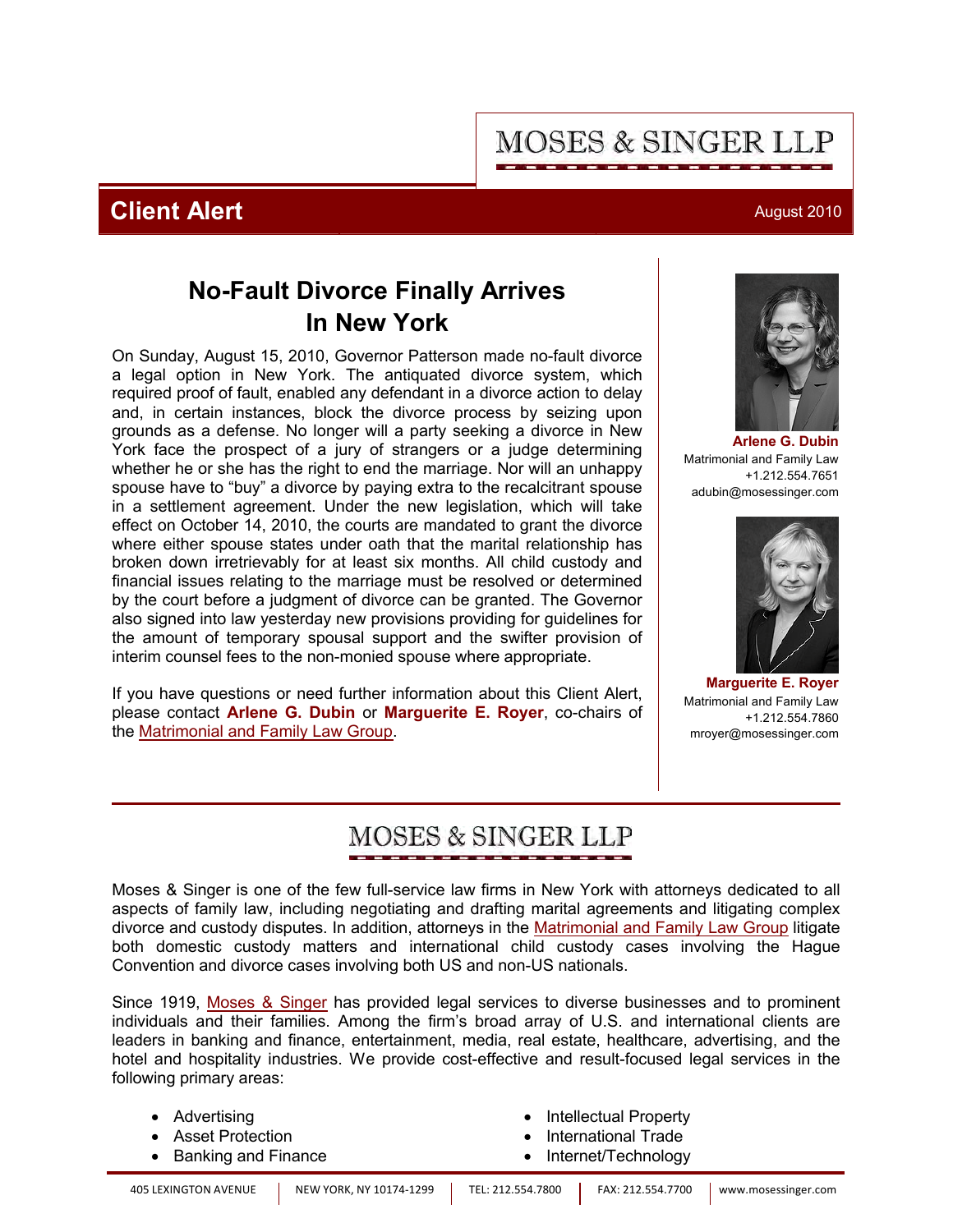# **MOSES & SINGER LLP**

## **Client Alert** August 2010

## **No-Fault Divorce Finally Arrives In New York**

On Sunday, August 15, 2010, Governor Patterson made no-fault divorce a legal option in New York. The antiquated divorce system, which required proof of fault, enabled any defendant in a divorce action to delay and, in certain instances, block the divorce process by seizing upon grounds as a defense. No longer will a party seeking a divorce in New York face the prospect of a jury of strangers or a judge determining whether he or she has the right to end the marriage. Nor will an unhappy spouse have to "buy" a divorce by paying extra to the recalcitrant spouse in a settlement agreement. Under the new legislation, which will take effect on October 14, 2010, the courts are mandated to grant the divorce where either spouse states under oath that the marital relationship has broken down irretrievably for at least six months. All child custody and financial issues relating to the marriage must be resolved or determined by the court before a judgment of divorce can be granted. The Governor also signed into law yesterday new provisions providing for guidelines for the amount of temporary spousal support and the swifter provision of interim counsel fees to the non-monied spouse where appropriate.

If you have questions or need further information about this Client Alert, please contact **[Arlene G. Dubin](http://www.mosessinger.com/personnel/adubin/)** or **[Marguerite E. Royer](http://www.mosessinger.com/personnel/mroyer/)**, co-chairs of the [Matrimonial and Family Law Group](http://www.mosessinger.com/MatrimonialLaw/).

# **[Arlene G. Dubin](http://www.mosessinger.com/personnel/adubin/)**





**[Marguerite E. Royer](http://www.mosessinger.com/personnel/mroyer/)** Matrimonial and Family Law +1.212.554.7860 mroyer@mosessinger.com

# MOSES & SINGER LLP

Moses & Singer is one of the few full-service law firms in New York with attorneys dedicated to all aspects of family law, including negotiating and drafting marital agreements and litigating complex divorce and custody disputes. In addition, attorneys in the [Matrimonial and Family Law Group](http://www.mosessinger.com/MatrimonialLaw/) litigate both domestic custody matters and international child custody cases involving the Hague Convention and divorce cases involving both US and non-US nationals.

Since 1919, [Moses & Singer](http://www.mosessinger.com/firm_profile/firm_description.php) has provided legal services to diverse businesses and to prominent individuals and their families. Among the firm's broad array of U.S. and international clients are leaders in banking and finance, entertainment, media, real estate, healthcare, advertising, and the hotel and hospitality industries. We provide cost-effective and result-focused legal services in the following primary areas:

| • Advertising         | • Intellectual Property |
|-----------------------|-------------------------|
| • Asset Protection    | • International Trade   |
| • Banking and Finance | • Internet/Technology   |